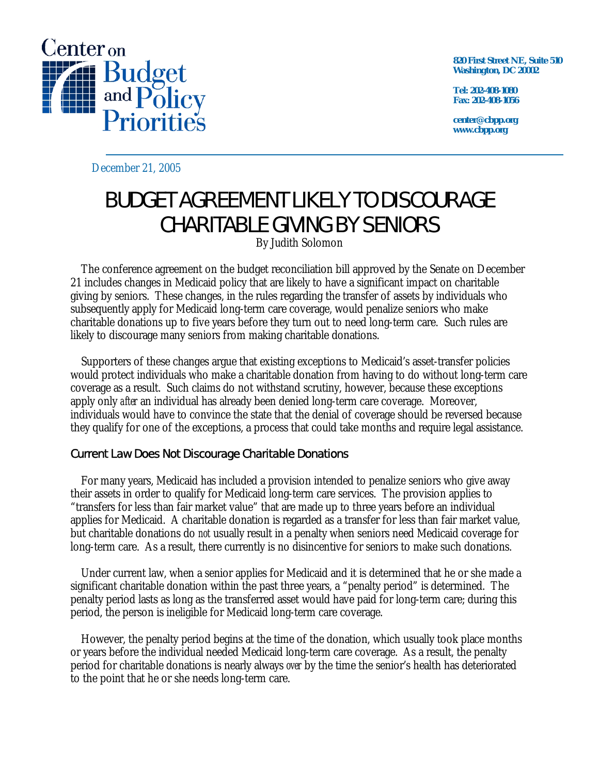

**820 First Street NE, Suite 510 Washington, DC 20002** 

**Tel: 202-408-1080 Fax: 202-408-1056** 

**center@cbpp.org www.cbpp.org** 

December 21, 2005

## BUDGET AGREEMENT LIKELY TO DISCOURAGE CHARITABLE GIVING BY SENIORS

By Judith Solomon

 The conference agreement on the budget reconciliation bill approved by the Senate on December 21 includes changes in Medicaid policy that are likely to have a significant impact on charitable giving by seniors. These changes, in the rules regarding the transfer of assets by individuals who subsequently apply for Medicaid long-term care coverage, would penalize seniors who make charitable donations up to five years before they turn out to need long-term care. Such rules are likely to discourage many seniors from making charitable donations.

 Supporters of these changes argue that existing exceptions to Medicaid's asset-transfer policies would protect individuals who make a charitable donation from having to do without long-term care coverage as a result. Such claims do not withstand scrutiny, however, because these exceptions apply only *after* an individual has already been denied long-term care coverage. Moreover, individuals would have to convince the state that the denial of coverage should be reversed because they qualify for one of the exceptions, a process that could take months and require legal assistance.

## Current Law Does Not Discourage Charitable Donations

 For many years, Medicaid has included a provision intended to penalize seniors who give away their assets in order to qualify for Medicaid long-term care services. The provision applies to "transfers for less than fair market value" that are made up to three years before an individual applies for Medicaid. A charitable donation is regarded as a transfer for less than fair market value, but charitable donations do *not* usually result in a penalty when seniors need Medicaid coverage for long-term care. As a result, there currently is no disincentive for seniors to make such donations.

 Under current law, when a senior applies for Medicaid and it is determined that he or she made a significant charitable donation within the past three years, a "penalty period" is determined. The penalty period lasts as long as the transferred asset would have paid for long-term care; during this period, the person is ineligible for Medicaid long-term care coverage.

 However, the penalty period begins at the time of the donation, which usually took place months or years before the individual needed Medicaid long-term care coverage. As a result, the penalty period for charitable donations is nearly always *over* by the time the senior's health has deteriorated to the point that he or she needs long-term care.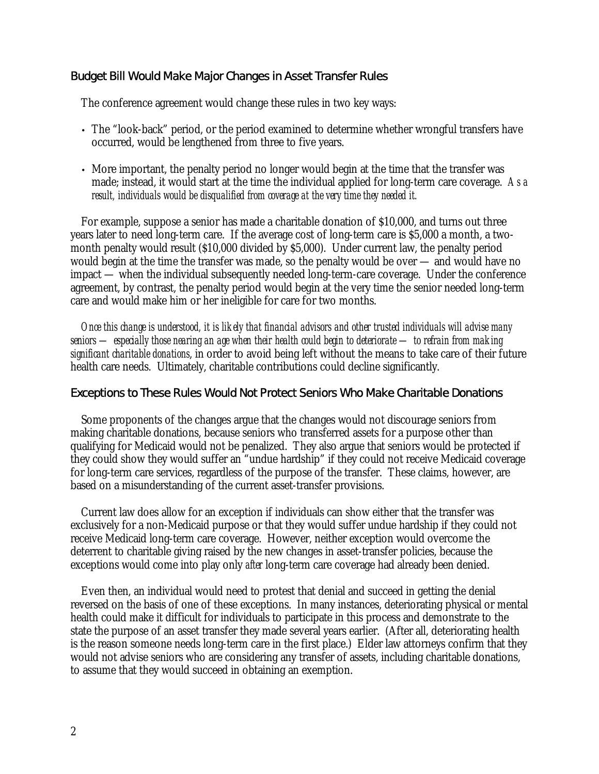## Budget Bill Would Make Major Changes in Asset Transfer Rules

The conference agreement would change these rules in two key ways:

- The "look-back" period, or the period examined to determine whether wrongful transfers have occurred, would be lengthened from three to five years.
- More important, the penalty period no longer would begin at the time that the transfer was made; instead, it would start at the time the individual applied for long-term care coverage. *As a result, individuals would be disqualified from coverage at the very time they needed it.*

 For example, suppose a senior has made a charitable donation of \$10,000, and turns out three years later to need long-term care. If the average cost of long-term care is \$5,000 a month, a twomonth penalty would result (\$10,000 divided by \$5,000). Under current law, the penalty period would begin at the time the transfer was made, so the penalty would be over — and would have no impact — when the individual subsequently needed long-term-care coverage. Under the conference agreement, by contrast, the penalty period would begin at the very time the senior needed long-term care and would make him or her ineligible for care for two months.

*Once this change is understood, it is likely that financial advisors and other trusted individuals will advise many seniors — especially those nearing an age when their health could begin to deteriorate — to refrain from making significant charitable donations*, in order to avoid being left without the means to take care of their future health care needs. Ultimately, charitable contributions could decline significantly.

## Exceptions to These Rules Would Not Protect Seniors Who Make Charitable Donations

 Some proponents of the changes argue that the changes would not discourage seniors from making charitable donations, because seniors who transferred assets for a purpose other than qualifying for Medicaid would not be penalized. They also argue that seniors would be protected if they could show they would suffer an "undue hardship" if they could not receive Medicaid coverage for long-term care services, regardless of the purpose of the transfer. These claims, however, are based on a misunderstanding of the current asset-transfer provisions.

 Current law does allow for an exception if individuals can show either that the transfer was exclusively for a non-Medicaid purpose or that they would suffer undue hardship if they could not receive Medicaid long-term care coverage. However, neither exception would overcome the deterrent to charitable giving raised by the new changes in asset-transfer policies, because the exceptions would come into play only *after* long-term care coverage had already been denied.

 Even then, an individual would need to protest that denial and succeed in getting the denial reversed on the basis of one of these exceptions. In many instances, deteriorating physical or mental health could make it difficult for individuals to participate in this process and demonstrate to the state the purpose of an asset transfer they made several years earlier. (After all, deteriorating health is the reason someone needs long-term care in the first place.) Elder law attorneys confirm that they would not advise seniors who are considering any transfer of assets, including charitable donations, to assume that they would succeed in obtaining an exemption.